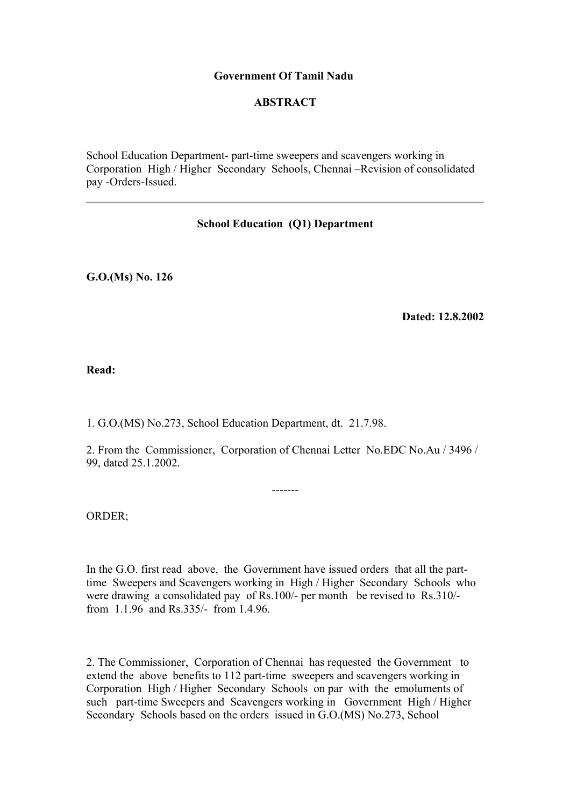### **Government Of Tamil Nadu**

## **ABSTRACT**

School Education Department- part-time sweepers and scavengers working in Corporation High / Higher Secondary Schools, Chennai –Revision of consolidated pay -Orders-Issued.

# **School Education (Q1) Department**

**G.O.(Ms) No. 126**

**Dated: 12.8.2002**

**Read:**

1. G.O.(MS) No.273, School Education Department, dt. 21.7.98.

2. From the Commissioner, Corporation of Chennai Letter No.EDC No.Au / 3496 / 99, dated 25.1.2002.

-------

ORDER;

In the G.O. first read above, the Government have issued orders that all the parttime Sweepers and Scavengers working in High / Higher Secondary Schools who were drawing a consolidated pay of Rs.100/- per month be revised to Rs.310/ from 1.1.96 and Rs.335/- from 1.4.96.

2. The Commissioner, Corporation of Chennai has requested the Government to extend the above benefits to 112 part-time sweepers and scavengers working in Corporation High / Higher Secondary Schools on par with the emoluments of such part-time Sweepers and Scavengers working in Government High / Higher Secondary Schools based on the orders issued in G.O.(MS) No.273, School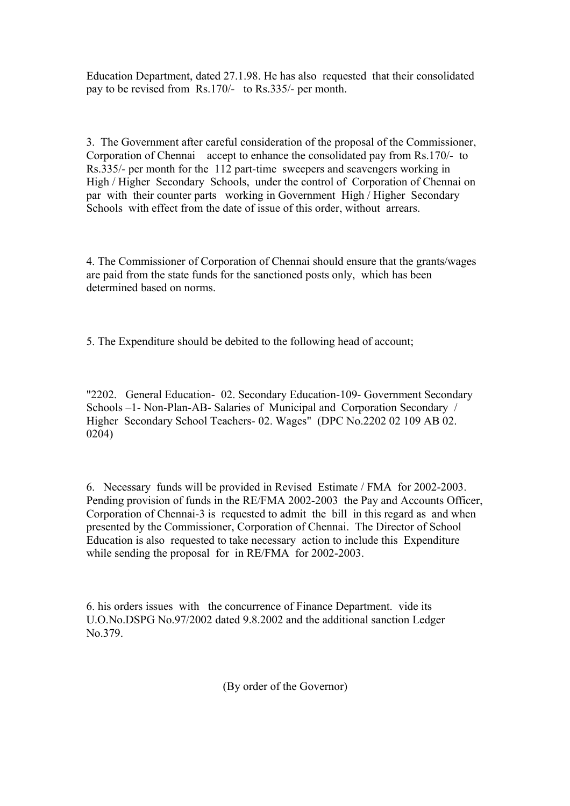Education Department, dated 27.1.98. He has also requested that their consolidated pay to be revised from Rs.170/- to Rs.335/- per month.

3. The Government after careful consideration of the proposal of the Commissioner, Corporation of Chennai accept to enhance the consolidated pay from Rs.170/- to Rs.335/- per month for the 112 part-time sweepers and scavengers working in High / Higher Secondary Schools, under the control of Corporation of Chennai on par with their counter parts working in Government High / Higher Secondary Schools with effect from the date of issue of this order, without arrears.

4. The Commissioner of Corporation of Chennai should ensure that the grants/wages are paid from the state funds for the sanctioned posts only, which has been determined based on norms.

5. The Expenditure should be debited to the following head of account;

"2202. General Education- 02. Secondary Education-109- Government Secondary Schools –1- Non-Plan-AB- Salaries of Municipal and Corporation Secondary / Higher Secondary School Teachers- 02. Wages" (DPC No.2202 02 109 AB 02. 0204)

6. Necessary funds will be provided in Revised Estimate / FMA for 2002-2003. Pending provision of funds in the RE/FMA 2002-2003 the Pay and Accounts Officer, Corporation of Chennai-3 is requested to admit the bill in this regard as and when presented by the Commissioner, Corporation of Chennai. The Director of School Education is also requested to take necessary action to include this Expenditure while sending the proposal for in RE/FMA for 2002-2003.

6. his orders issues with the concurrence of Finance Department. vide its U.O.No.DSPG No.97/2002 dated 9.8.2002 and the additional sanction Ledger No.379.

(By order of the Governor)